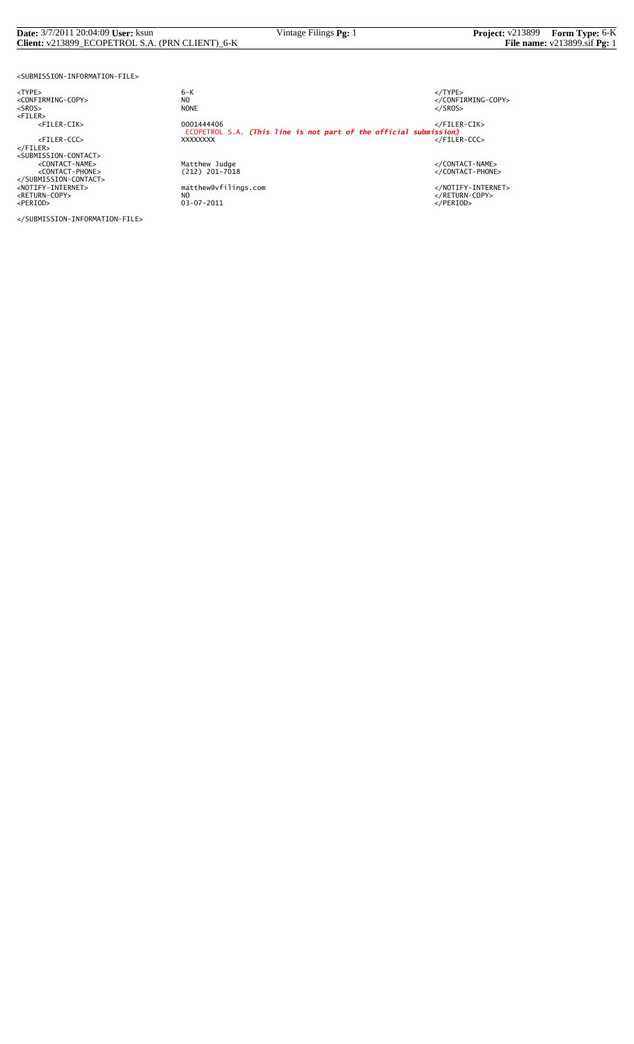#### **Date:** 3/7/2011 20:04:09 **User:** ksun Vintage Filings **Pg:** 1 **Project:** v213899 **Form Type:** 6-K **Client:** v213899\_ECOPETROL S.A. (PRN CLIENT)\_6-K **File name:** v213899.sif **Pg:** 1

<SUBMISSION-INFORMATION-FILE>

<TYPE> 6-K </TYPE>

</SUBMISSION-INFORMATION-FILE>

 $6 - K$ NO<br>
NO<br>
NONE<br>
NONE<br>
NONE<br>
S/SROS> <SROS> NONE </SROS> <FILER> <FILER-CIK> 0001444406 </FILER-CIK> ECOPETROL S.A. *(This line is not part of the official submission)* <FILER-CCC> XXXXXXXX </FILER-CCC> </FILER> <SUBMISSION-CONTACT> <CONTACT-NAME> Matthew Judge </CONTACT-NAME> <CONTACT-PHONE> (212) 201-7018 </CONTACT-PHONE> </SUBMISSION-CONTACT> <NOTIFY-INTERNET> matthew@vfilings.com </NOTIFY-INTERNET> <RETURN-COPY> NO </RETURN-COPY> <PERIOD> 03-07-2011 </PERIOD>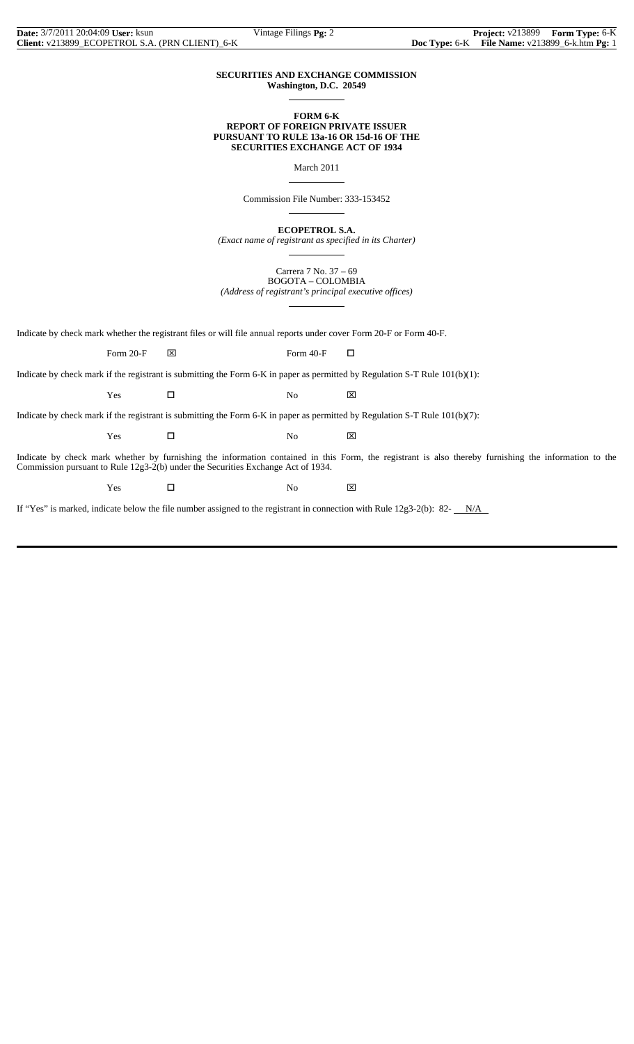#### **SECURITIES AND EXCHANGE COMMISSION Washington, D.C. 20549**

 $\overline{a}$ 

 $\overline{a}$ 

 $\overline{a}$ 

 $\overline{a}$ 

#### **FORM 6-K REPORT OF FOREIGN PRIVATE ISSUER PURSUANT TO RULE 13a-16 OR 15d-16 OF THE SECURITIES EXCHANGE ACT OF 1934**

March 2011

Commission File Number: 333-153452

**ECOPETROL S.A.**

*(Exact name of registrant as specified in its Charter)*  $\overline{a}$ 

> Carrera 7 No. 37 – 69 BOGOTA – COLOMBIA

*(Address of registrant's principal executive offices)*

Indicate by check mark whether the registrant files or will file annual reports under cover Form 20-F or Form 40-F.

Form 20-F  $\boxtimes$  Form 40-F  $\Box$ 

Indicate by check mark if the registrant is submitting the Form 6-K in paper as permitted by Regulation S-T Rule 101(b)(1):

 $Yes$   $\Box$  No  $\boxtimes$ 

Indicate by check mark if the registrant is submitting the Form 6-K in paper as permitted by Regulation S-T Rule 101(b)(7):

 $Yes$   $\Box$  No  $\boxtimes$ 

Indicate by check mark whether by furnishing the information contained in this Form, the registrant is also thereby furnishing the information to the Commission pursuant to Rule 12g3-2(b) under the Securities Exchange Act of 1934.

Yes □ No ⊠

If "Yes" is marked, indicate below the file number assigned to the registrant in connection with Rule  $12g3-2(b)$ : 82- $N/A$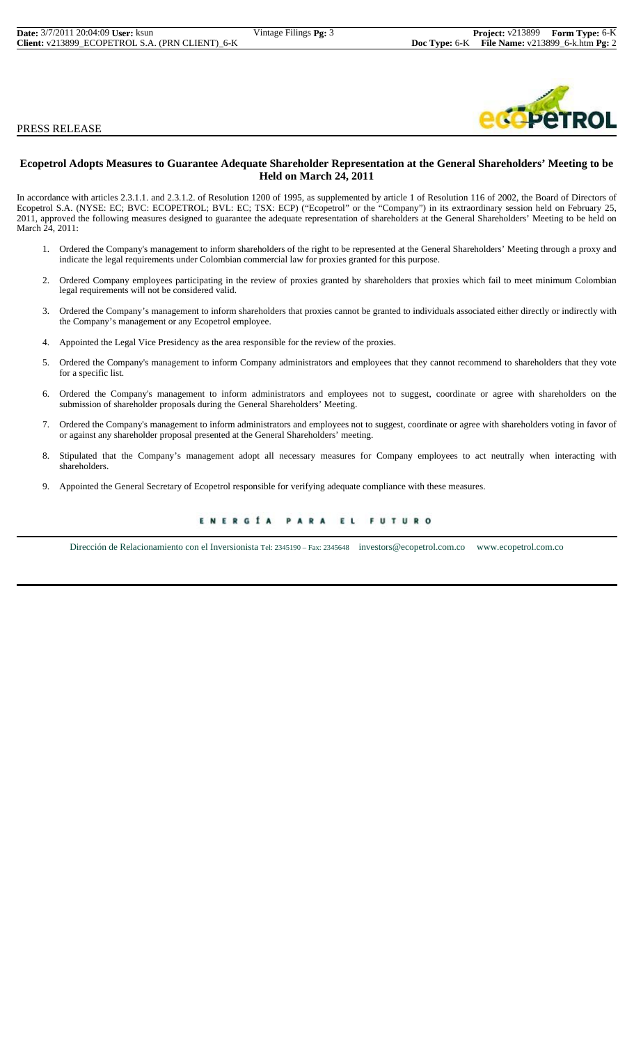PRESS RELEASE



#### **Ecopetrol Adopts Measures to Guarantee Adequate Shareholder Representation at the General Shareholders' Meeting to be Held on March 24, 2011**

In accordance with articles 2.3.1.1. and 2.3.1.2. of Resolution 1200 of 1995, as supplemented by article 1 of Resolution 116 of 2002, the Board of Directors of Ecopetrol S.A. (NYSE: EC; BVC: ECOPETROL; BVL: EC; TSX: ECP) ("Ecopetrol" or the "Company") in its extraordinary session held on February 25, 2011, approved the following measures designed to guarantee the adequate representation of shareholders at the General Shareholders' Meeting to be held on March 24, 2011:

- 1. Ordered the Company's management to inform shareholders of the right to be represented at the General Shareholders' Meeting through a proxy and indicate the legal requirements under Colombian commercial law for proxies granted for this purpose.
- 2. Ordered Company employees participating in the review of proxies granted by shareholders that proxies which fail to meet minimum Colombian legal requirements will not be considered valid.
- 3. Ordered the Company's management to inform shareholders that proxies cannot be granted to individuals associated either directly or indirectly with the Company's management or any Ecopetrol employee.
- 4. Appointed the Legal Vice Presidency as the area responsible for the review of the proxies.
- 5. Ordered the Company's management to inform Company administrators and employees that they cannot recommend to shareholders that they vote for a specific list.
- 6. Ordered the Company's management to inform administrators and employees not to suggest, coordinate or agree with shareholders on the submission of shareholder proposals during the General Shareholders' Meeting.
- 7. Ordered the Company's management to inform administrators and employees not to suggest, coordinate or agree with shareholders voting in favor of or against any shareholder proposal presented at the General Shareholders' meeting.
- 8. Stipulated that the Company's management adopt all necessary measures for Company employees to act neutrally when interacting with shareholders.
- 9. Appointed the General Secretary of Ecopetrol responsible for verifying adequate compliance with these measures.

#### ENERGÍA PARA EL **FUTURO**

Dirección de Relacionamiento con el Inversionista Tel: 2345190 – Fax: 2345648 investors@ecopetrol.com.co www.ecopetrol.com.co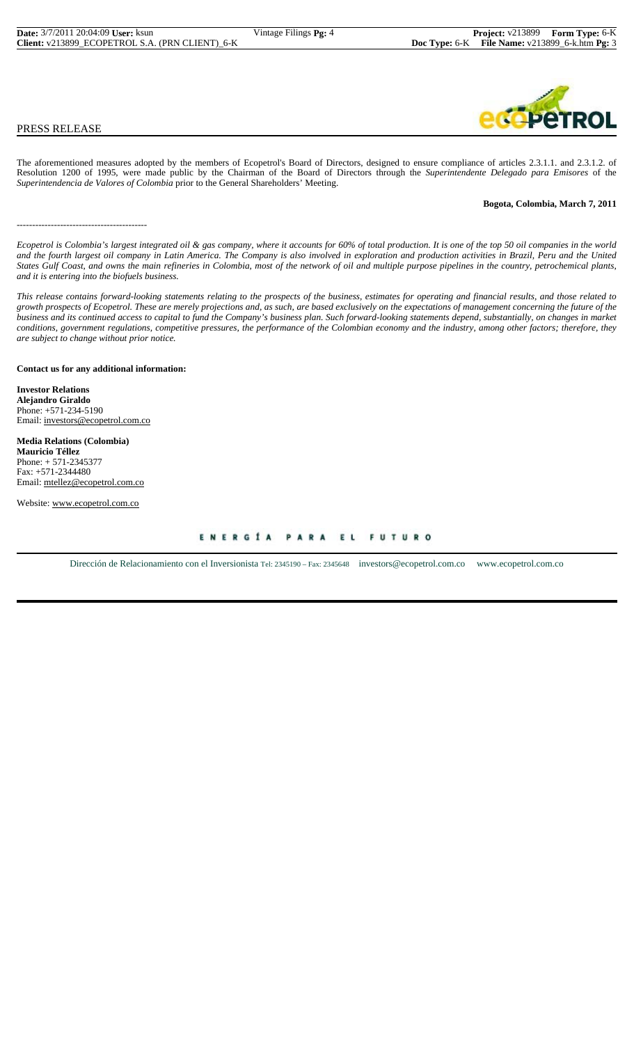# br

#### PRESS RELEASE

The aforementioned measures adopted by the members of Ecopetrol's Board of Directors, designed to ensure compliance of articles 2.3.1.1. and 2.3.1.2. of Resolution 1200 of 1995, were made public by the Chairman of the Board of Directors through the *Superintendente Delegado para Emisores* of the *Superintendencia de Valores of Colombia* prior to the General Shareholders' Meeting.

#### **Bogota, Colombia, March 7, 2011**

*Ecopetrol is Colombia's largest integrated oil & gas company, where it accounts for 60% of total production. It is one of the top 50 oil companies in the world and the fourth largest oil company in Latin America. The Company is also involved in exploration and production activities in Brazil, Peru and the United States Gulf Coast, and owns the main refineries in Colombia, most of the network of oil and multiple purpose pipelines in the country, petrochemical plants, and it is entering into the biofuels business.*

*This release contains forward-looking statements relating to the prospects of the business, estimates for operating and financial results, and those related to growth prospects of Ecopetrol. These are merely projections and, as such, are based exclusively on the expectations of management concerning the future of the business and its continued access to capital to fund the Company's business plan. Such forward-looking statements depend, substantially, on changes in market conditions, government regulations, competitive pressures, the performance of the Colombian economy and the industry, among other factors; therefore, they are subject to change without prior notice.*

#### **Contact us for any additional information:**

**Investor Relations Alejandro Giraldo** Phone: +571-234-5190 Email: investors@ecopetrol.com.co

------------------------------------------

**Media Relations (Colombia) Mauricio Téllez** Phone: + 571-2345377 Fax: +571-2344480 Email: mtellez@ecopetrol.com.co

Website: www.ecopetrol.com.co

ENERGÍA PARA EL FUTURO

Dirección de Relacionamiento con el Inversionista Tel: 2345190 – Fax: 2345648 investors@ecopetrol.com.co www.ecopetrol.com.co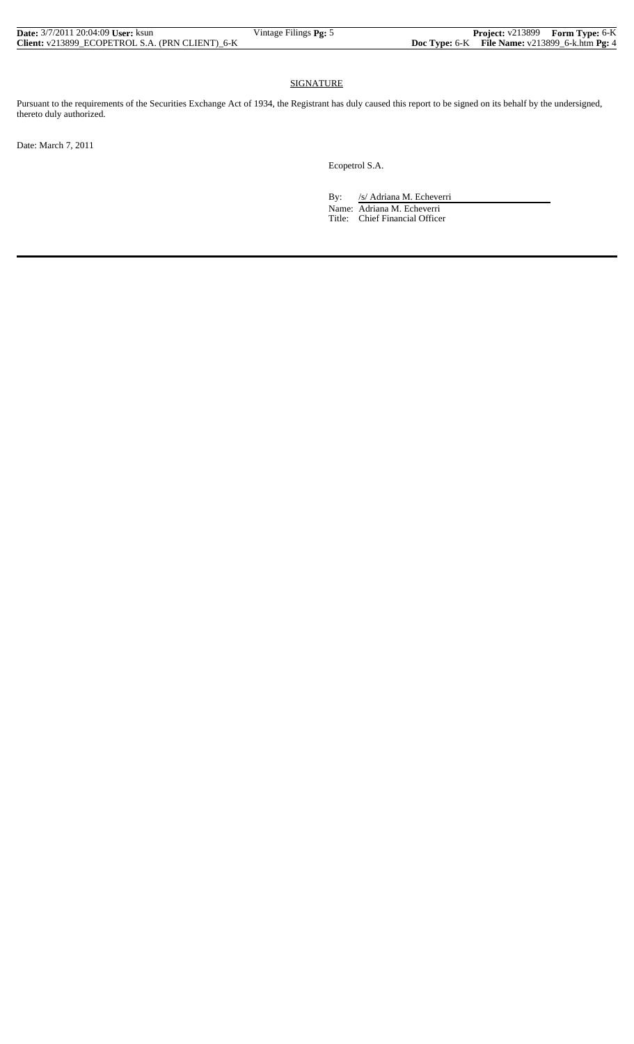| <b>Date:</b> 3/7/2011 20:04:09 <b>User:</b> ksun | Vintage Filings <b>Pg:</b> 5 | <b>Project:</b> v213899 Form Type: 6-K                  |  |
|--------------------------------------------------|------------------------------|---------------------------------------------------------|--|
| Client: v213899 ECOPETROL S.A. (PRN CLIENT) 6-K  |                              | <b>Doc Type:</b> 6-K File Name: $v213899$ 6-k.htm Pg: 4 |  |

### SIGNATURE

Pursuant to the requirements of the Securities Exchange Act of 1934, the Registrant has duly caused this report to be signed on its behalf by the undersigned, thereto duly authorized.

Date: March 7, 2011

Ecopetrol S.A.

By: /s/ Adriana M. Echeverri

 Name: Adriana M. Echeverri Title: Chief Financial Officer